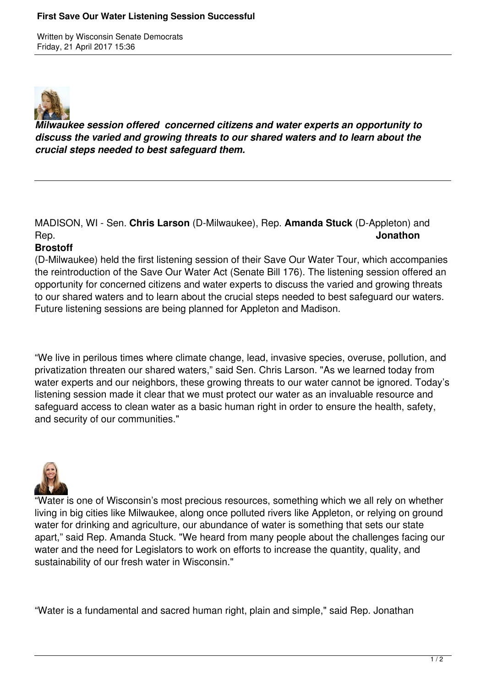Written by Wisconsin Senate Democrats Friday, 21 April 2017 15:36



*Milwaukee session offered concerned citizens and water experts an opportunity to discuss the varied and growing threats to our shared waters and to learn about the crucial steps needed to best safeguard them.*

MADISON, WI - Sen. **Chris Larson** (D-Milwaukee), Rep. **Amanda Stuck** (D-Appleton) and Rep. **Jonathon**

## **Brostoff**

(D-Milwaukee) held the first listening session of their Save Our Water Tour, which accompanies the reintroduction of the Save Our Water Act (Senate Bill 176). The listening session offered an opportunity for concerned citizens and water experts to discuss the varied and growing threats to our shared waters and to learn about the crucial steps needed to best safeguard our waters. Future listening sessions are being planned for Appleton and Madison.

"We live in perilous times where climate change, lead, invasive species, overuse, pollution, and privatization threaten our shared waters," said Sen. Chris Larson. "As we learned today from water experts and our neighbors, these growing threats to our water cannot be ignored. Today's listening session made it clear that we must protect our water as an invaluable resource and safeguard access to clean water as a basic human right in order to ensure the health, safety, and security of our communities."



"Water is one of Wisconsin's most precious resources, something which we all rely on whether living in big cities like Milwaukee, along once polluted rivers like Appleton, or relying on ground water for drinking and agriculture, our abundance of water is something that sets our state apart," said Rep. Amanda Stuck. "We heard from many people about the challenges facing our water and the need for Legislators to work on efforts to increase the quantity, quality, and sustainability of our fresh water in Wisconsin."

"Water is a fundamental and sacred human right, plain and simple," said Rep. Jonathan